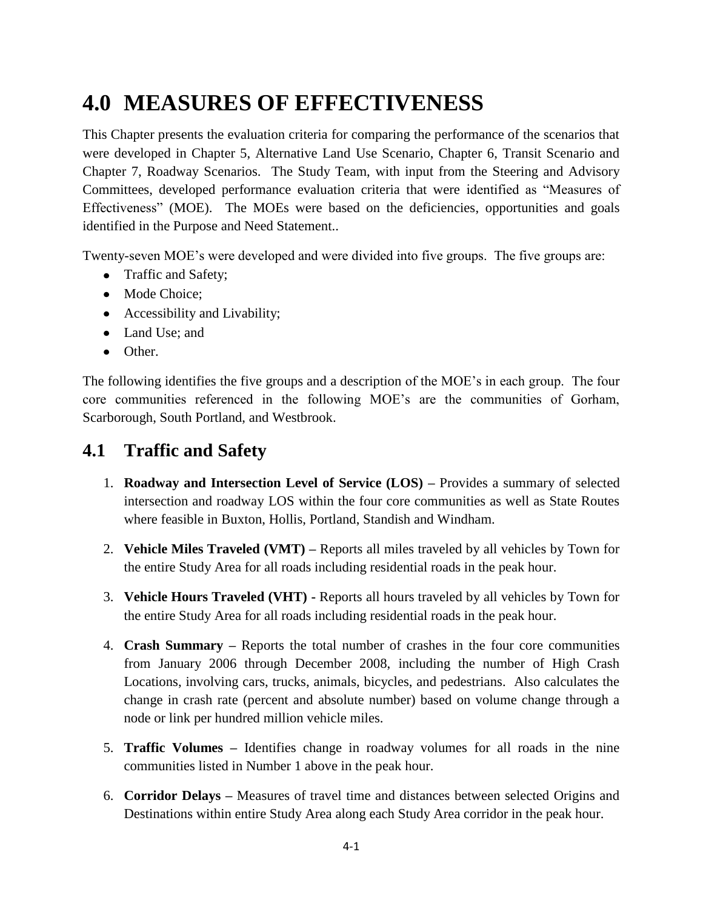# **4.0 MEASURES OF EFFECTIVENESS**

This Chapter presents the evaluation criteria for comparing the performance of the scenarios that were developed in Chapter 5, Alternative Land Use Scenario, Chapter 6, Transit Scenario and Chapter 7, Roadway Scenarios. The Study Team, with input from the Steering and Advisory Committees, developed performance evaluation criteria that were identified as "Measures of Effectiveness" (MOE). The MOEs were based on the deficiencies, opportunities and goals identified in the Purpose and Need Statement..

Twenty-seven MOE's were developed and were divided into five groups. The five groups are:

- Traffic and Safety;
- Mode Choice:
- Accessibility and Livability;
- Land Use: and
- Other.

The following identifies the five groups and a description of the MOE's in each group. The four core communities referenced in the following MOE's are the communities of Gorham, Scarborough, South Portland, and Westbrook.

## **4.1 Traffic and Safety**

- 1. **Roadway and Intersection Level of Service (LOS) –** Provides a summary of selected intersection and roadway LOS within the four core communities as well as State Routes where feasible in Buxton, Hollis, Portland, Standish and Windham.
- 2. **Vehicle Miles Traveled (VMT) –** Reports all miles traveled by all vehicles by Town for the entire Study Area for all roads including residential roads in the peak hour.
- 3. **Vehicle Hours Traveled (VHT) -** Reports all hours traveled by all vehicles by Town for the entire Study Area for all roads including residential roads in the peak hour.
- 4. **Crash Summary –** Reports the total number of crashes in the four core communities from January 2006 through December 2008, including the number of High Crash Locations, involving cars, trucks, animals, bicycles, and pedestrians. Also calculates the change in crash rate (percent and absolute number) based on volume change through a node or link per hundred million vehicle miles.
- 5. **Traffic Volumes –** Identifies change in roadway volumes for all roads in the nine communities listed in Number 1 above in the peak hour.
- 6. **Corridor Delays –** Measures of travel time and distances between selected Origins and Destinations within entire Study Area along each Study Area corridor in the peak hour.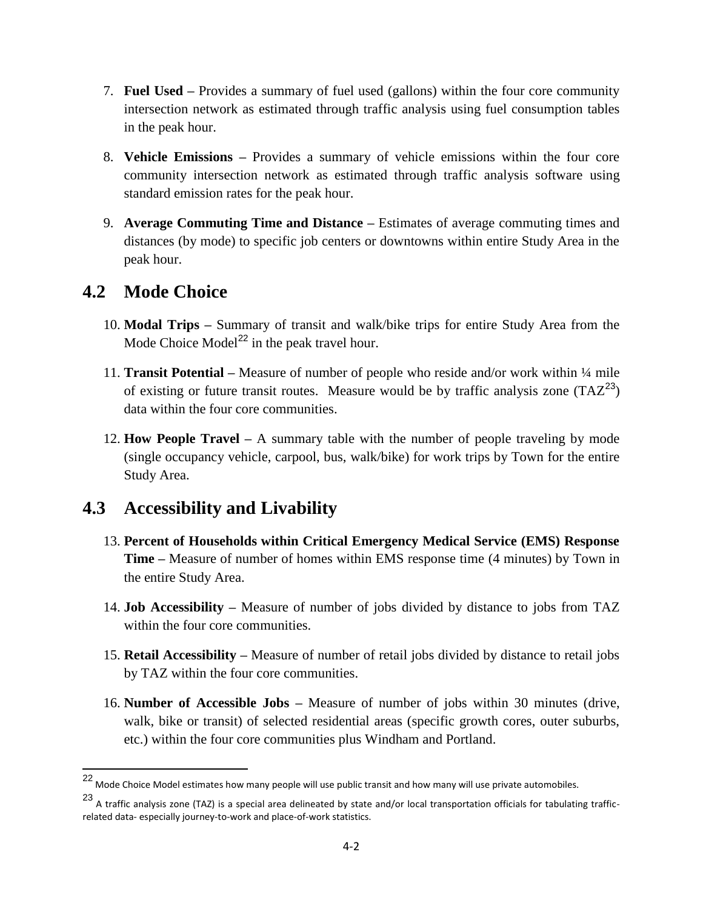- 7. **Fuel Used –** Provides a summary of fuel used (gallons) within the four core community intersection network as estimated through traffic analysis using fuel consumption tables in the peak hour.
- 8. **Vehicle Emissions –** Provides a summary of vehicle emissions within the four core community intersection network as estimated through traffic analysis software using standard emission rates for the peak hour.
- 9. **Average Commuting Time and Distance –** Estimates of average commuting times and distances (by mode) to specific job centers or downtowns within entire Study Area in the peak hour.

### **4.2 Mode Choice**

 $\overline{\phantom{a}}$ 

- 10. **Modal Trips –** Summary of transit and walk/bike trips for entire Study Area from the Mode Choice Model<sup>22</sup> in the peak travel hour.
- 11. **Transit Potential –** Measure of number of people who reside and/or work within ¼ mile of existing or future transit routes. Measure would be by traffic analysis zone  $(TAZ^{23})$ data within the four core communities.
- 12. **How People Travel –** A summary table with the number of people traveling by mode (single occupancy vehicle, carpool, bus, walk/bike) for work trips by Town for the entire Study Area.

## **4.3 Accessibility and Livability**

- 13. **Percent of Households within Critical Emergency Medical Service (EMS) Response Time –** Measure of number of homes within EMS response time (4 minutes) by Town in the entire Study Area.
- 14. **Job Accessibility –** Measure of number of jobs divided by distance to jobs from TAZ within the four core communities.
- 15. **Retail Accessibility –** Measure of number of retail jobs divided by distance to retail jobs by TAZ within the four core communities.
- 16. **Number of Accessible Jobs –** Measure of number of jobs within 30 minutes (drive, walk, bike or transit) of selected residential areas (specific growth cores, outer suburbs, etc.) within the four core communities plus Windham and Portland.

<sup>22</sup> Mode Choice Model estimates how many people will use public transit and how many will use private automobiles.

 $23$  A traffic analysis zone (TAZ) is a special area delineated by state and/or local transportation officials for tabulating trafficrelated data- especially journey-to-work and place-of-work statistics.